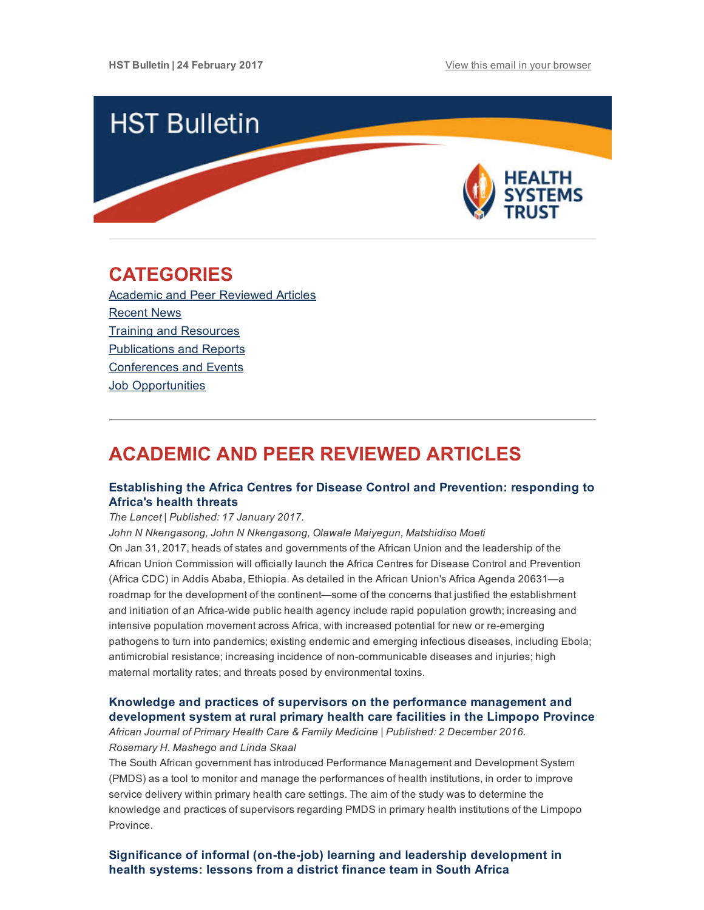

## <span id="page-0-1"></span>CATEGORIES

Academic and Peer [Reviewed](#page-0-0) Articles [Recent](#page-3-0) News Training and [Resources](#page-4-0) [Publications](#page-4-1) and Reports [Conferences](#page-5-0) and Events **Job [Opportunities](#page-5-1)** 

# <span id="page-0-0"></span>ACADEMIC AND PEER REVIEWED ARTICLES

## [Establishing](http://www.thelancet.com/journals/langlo/article/PIIS2214-109X(17)30025-6/fulltext) the Africa Centres for Disease Control and Prevention: responding to Africa's health threats

#### The Lancet | Published: 17 January 2017.

John N Nkengasong, John N Nkengasong, Olawale Maiyegun, Matshidiso Moeti On Jan 31, 2017, heads of states and governments of the African Union and the leadership of the African Union Commission will officially launch the Africa Centres for Disease Control and Prevention (Africa CDC) in Addis Ababa, Ethiopia. As detailed in the African Union's Africa Agenda 20631—a roadmap for the development of the continent—some of the concerns that justified the establishment and initiation of an Africa-wide public health agency include rapid population growth; increasing and intensive population movement across Africa, with increased potential for new or re-emerging pathogens to turn into pandemics; existing endemic and emerging infectious diseases, including Ebola; antimicrobial resistance; increasing incidence of non-communicable diseases and injuries; high maternal mortality rates; and threats posed by environmental toxins.

## Knowledge and practices of supervisors on the performance management and [development](https://www.ncbi.nlm.nih.gov/pmc/articles/PMC5153408/) system at rural primary health care facilities in the Limpopo Province

African Journal of Primary Health Care & Family Medicine | Published: 2 December 2016. Rosemary H. Mashego and Linda Skaal

The South African government has introduced Performance Management and Development System (PMDS) as a tool to monitor and manage the performances of health institutions, in order to improve service delivery within primary health care settings. The aim of the study was to determine the knowledge and practices of supervisors regarding PMDS in primary health institutions of the Limpopo Province.

Significance of informal (on-the-job) learning and leadership [development](http://gh.bmj.com/content/2/1/e000138) in health systems: lessons from a district finance team in South Africa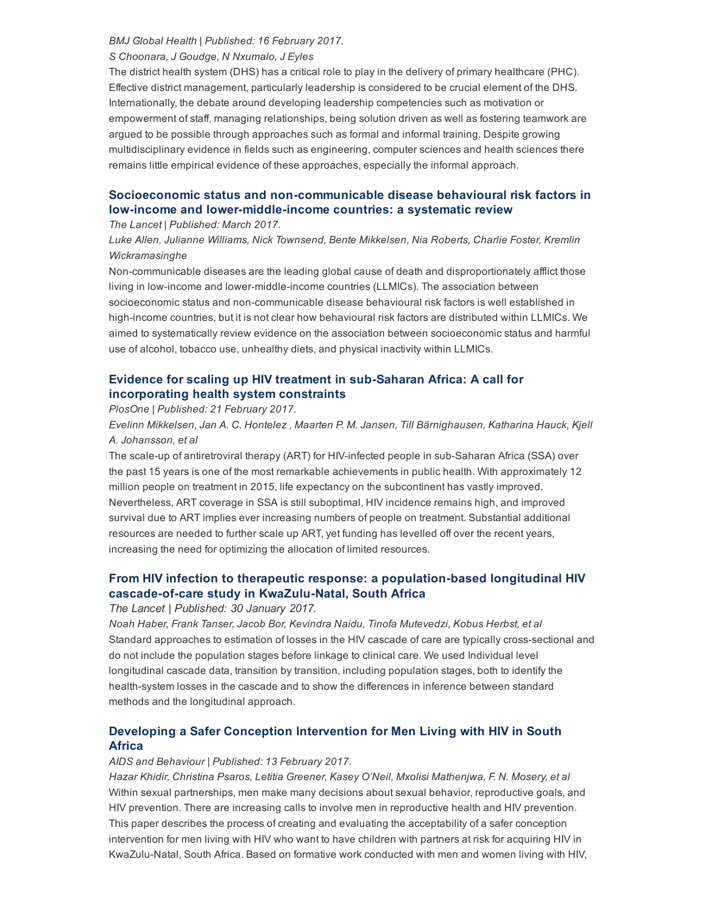#### BMJ Global Health | Published: 16 February 2017.

#### S Choonara, J Goudge, N Nxumalo, J Eyles

The district health system (DHS) has a critical role to play in the delivery of primary healthcare (PHC). Effective district management, particularly leadership is considered to be crucial element of the DHS. Internationally, the debate around developing leadership competencies such as motivation or empowerment of staff, managing relationships, being solution driven as well as fostering teamwork are argued to be possible through approaches such as formal and informal training. Despite growing multidisciplinary evidence in fields such as engineering, computer sciences and health sciences there remains little empirical evidence of these approaches, especially the informal approach.

## Socioeconomic status and non-communicable disease behavioural risk factors in low-income and lower-middle-income countries: a systematic review

#### The Lancet | Published: March 2017.

## Luke Allen, Julianne Williams, Nick Townsend, Bente Mikkelsen, Nia Roberts, Charlie Foster, Kremlin Wickramasinghe

Non-communicable diseases are the leading global cause of death and disproportionately afflict those living in low-income and lower-middle-income countries (LLMICs). The association between socioeconomic status and non-communicable disease behavioural risk factors is well established in high-income countries, but it is not clear how behavioural risk factors are distributed within LLMICs. We aimed to systematically review evidence on the association between socioeconomic status and harmful use of alcohol, tobacco use, unhealthy diets, and physical inactivity within LLMICs.

## Evidence for scaling up HIV treatment in sub-Saharan Africa: A call for [incorporating](http://journals.plos.org/plosmedicine/article?id=10.1371/journal.pmed.1002240) health system constraints

PlosOne | Published: 21 February 2017.

Evelinn Mikkelsen, Jan A. C. Hontelez , Maarten P. M. Jansen, Till Bärnighausen, Katharina Hauck, Kjell A. Johansson, et al

The scale-up of antiretroviral therapy (ART) for HIV-infected people in sub-Saharan Africa (SSA) over the past 15 years is one of the most remarkable achievements in public health. With approximately 12 million people on treatment in 2015, life expectancy on the subcontinent has vastly improved. Nevertheless, ART coverage in SSA is still suboptimal, HIV incidence remains high, and improved survival due to ART implies ever increasing numbers of people on treatment. Substantial additional resources are needed to further scale up ART, yet funding has levelled off over the recent years, increasing the need for optimizing the allocation of limited resources.

## From HIV infection to therapeutic response: a population-based longitudinal HIV cascade-of-care study in KwaZulu-Natal, South Africa

#### The Lancet | Published: 30 January 2017.

Noah Haber, Frank Tanser, Jacob Bor, Kevindra Naidu, Tinofa Mutevedzi, Kobus Herbst, et al Standard approaches to estimation of losses in the HIV cascade of care are typically cross-sectional and do not include the population stages before linkage to clinical care. We used Individual level longitudinal cascade data, transition by transition, including population stages, both to identify the health-system losses in the cascade and to show the differences in inference between standard methods and the longitudinal approach.

## Developing a Safer Conception [Intervention](http://link.springer.com/article/10.1007%2Fs10461-017-1719-4) for Men Living with HIV in South Africa

#### AIDS and Behaviour | Published: 13 February 2017.

Hazar Khidir, Christina Psaros, Letitia Greener, Kasey O'Neil, Mxolisi Mathenjwa, F. N. Mosery, et al Within sexual partnerships, men make many decisions about sexual behavior, reproductive goals, and HIV prevention. There are increasing calls to involve men in reproductive health and HIV prevention. This paper describes the process of creating and evaluating the acceptability of a safer conception intervention for men living with HIV who want to have children with partners at risk for acquiring HIV in KwaZulu-Natal, South Africa. Based on formative work conducted with men and women living with HIV,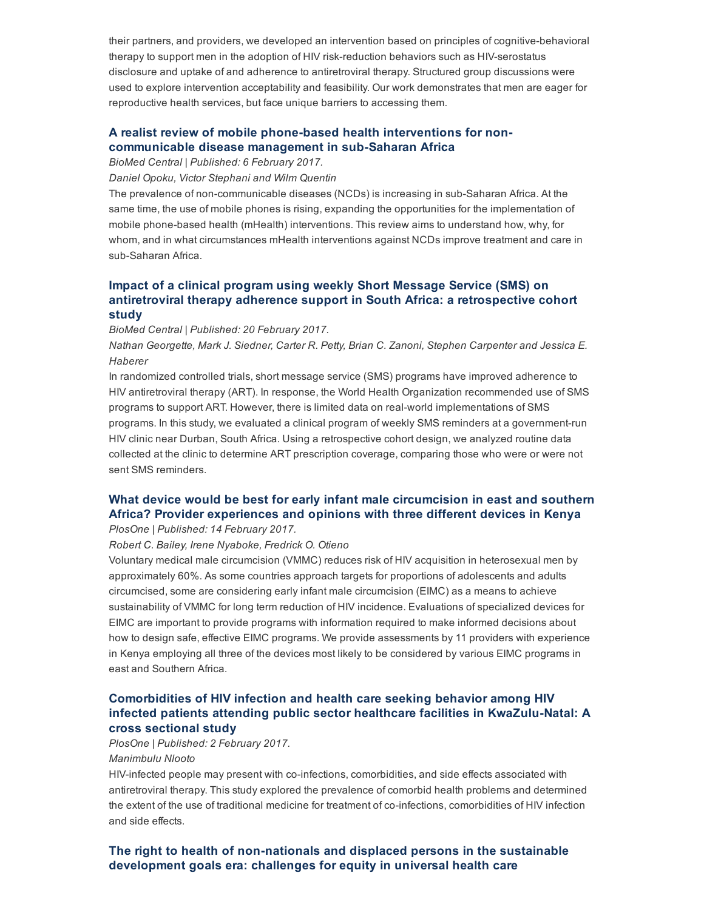their partners, and providers, we developed an intervention based on principles of cognitive-behavioral therapy to support men in the adoption of HIV risk-reduction behaviors such as HIV-serostatus disclosure and uptake of and adherence to antiretroviral therapy. Structured group discussions were used to explore intervention acceptability and feasibility. Our work demonstrates that men are eager for reproductive health services, but face unique barriers to accessing them.

## A realist review of mobile phone-based health interventions for non[communicable](http://bmcmedicine.biomedcentral.com/articles/10.1186/s12916-017-0782-z) disease management in sub-Saharan Africa

BioMed Central | Published: 6 February 2017.

Daniel Opoku, Victor Stephani and Wilm Quentin

The prevalence of non-communicable diseases (NCDs) is increasing in sub-Saharan Africa. At the same time, the use of mobile phones is rising, expanding the opportunities for the implementation of mobile phone-based health (mHealth) interventions. This review aims to understand how, why, for whom, and in what circumstances mHealth interventions against NCDs improve treatment and care in sub-Saharan Africa.

## Impact of a clinical program using weekly Short Message Service (SMS) on antiretroviral therapy adherence support in South Africa: a [retrospective](http://bmcmedinformdecismak.biomedcentral.com/articles/10.1186/s12911-017-0413-9) cohort study

BioMed Central | Published: 20 February 2017.

Nathan Georgette, Mark J. Siedner, Carter R. Petty, Brian C. Zanoni, Stephen Carpenter and Jessica E. Haberer

In randomized controlled trials, short message service (SMS) programs have improved adherence to HIV antiretroviral therapy (ART). In response, the World Health Organization recommended use of SMS programs to support ART. However, there is limited data on real-world implementations of SMS programs. In this study, we evaluated a clinical program of weekly SMS reminders at a government-run HIV clinic near Durban, South Africa. Using a retrospective cohort design, we analyzed routine data collected at the clinic to determine ART prescription coverage, comparing those who were or were not sent SMS reminders.

## What device would be best for early infant male [circumcision](http://journals.plos.org/plosone/article?id=10.1371/journal.pone.0171445) in east and southern Africa? Provider experiences and opinions with three different devices in Kenya

PlosOne | Published: 14 February 2017.

Robert C. Bailey, Irene Nyaboke, Fredrick O. Otieno

Voluntary medical male circumcision (VMMC) reduces risk of HIV acquisition in heterosexual men by approximately 60%. As some countries approach targets for proportions of adolescents and adults circumcised, some are considering early infant male circumcision (EIMC) as a means to achieve sustainability of VMMC for long term reduction of HIV incidence. Evaluations of specialized devices for EIMC are important to provide programs with information required to make informed decisions about how to design safe, effective EIMC programs. We provide assessments by 11 providers with experience in Kenya employing all three of the devices most likely to be considered by various EIMC programs in east and Southern Africa.

## Comorbidities of HIV infection and health care seeking behavior among HIV infected patients attending public sector healthcare facilities in KwaZulu-Natal: A cross sectional study

PlosOne | Published: 2 February 2017. Manimbulu Nlooto

HIV-infected people may present with co-infections, comorbidities, and side effects associated with antiretroviral therapy. This study explored the prevalence of comorbid health problems and determined the extent of the use of traditional medicine for treatment of co-infections, comorbidities of HIV infection and side effects.

## The right to health of non-nationals and displaced persons in the sustainable development goals era: challenges for equity in universal health care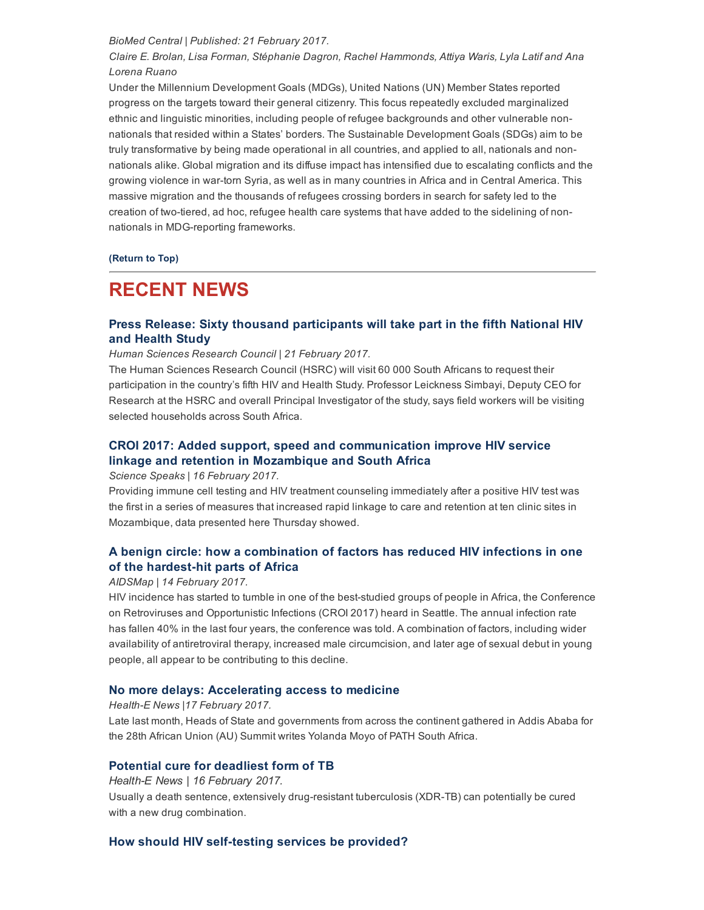#### BioMed Central | Published: 21 February 2017.

Claire E. Brolan, Lisa Forman, Stéphanie Dagron, Rachel Hammonds, Attiya Waris, Lyla Latif and Ana Lorena Ruano

Under the Millennium Development Goals (MDGs), United Nations (UN) Member States reported progress on the targets toward their general citizenry. This focus repeatedly excluded marginalized ethnic and linguistic minorities, including people of refugee backgrounds and other vulnerable nonnationals that resided within a States' borders. The Sustainable Development Goals (SDGs) aim to be truly transformative by being made operational in all countries, and applied to all, nationals and nonnationals alike. Global migration and its diffuse impact has intensified due to escalating conflicts and the growing violence in wartorn Syria, as well as in many countries in Africa and in Central America. This massive migration and the thousands of refugees crossing borders in search for safety led to the creation of two-tiered, ad hoc, refugee health care systems that have added to the sidelining of nonnationals in MDG-reporting frameworks.

#### [\(Return](#page-0-1) to Top)

## <span id="page-3-0"></span>RECENT NEWS

## Press Release: Sixty thousand [participants](http://www.hst.org.za/news/media-brief-launch-south-african-national-hiv-survey-sabssm-v-20162017) will take part in the fifth National HIV and Health Study

#### Human Sciences Research Council | 21 February 2017.

The Human Sciences Research Council (HSRC) will visit 60 000 South Africans to request their participation in the country's fifth HIV and Health Study. Professor Leickness Simbayi, Deputy CEO for Research at the HSRC and overall Principal Investigator of the study, says field workers will be visiting selected households across South Africa.

## CROI 2017: Added support, speed and [communication](http://www.hst.org.za/news/croi-2017-added-support-speed-and-communication-improve-hiv-service-linkage-and-retention-mozam) improve HIV service linkage and retention in Mozambique and South Africa

#### Science Speaks | 16 February 2017.

Providing immune cell testing and HIV treatment counseling immediately after a positive HIV test was the first in a series of measures that increased rapid linkage to care and retention at ten clinic sites in Mozambique, data presented here Thursday showed.

## A benign circle: how a [combination](http://www.hst.org.za/news/benign-circle-how-combination-factors-has-reduced-hiv-infections-one-hardest-hit-parts-africa) of factors has reduced HIV infections in one of the hardest-hit parts of Africa

#### AIDSMap | 14 February 2017.

HIV incidence has started to tumble in one of the best-studied groups of people in Africa, the Conference on Retroviruses and Opportunistic Infections (CROI 2017) heard in Seattle. The annual infection rate has fallen 40% in the last four years, the conference was told. A combination of factors, including wider availability of antiretroviral therapy, increased male circumcision, and later age of sexual debut in young people, all appear to be contributing to this decline.

#### No more delays: [Accelerating](http://www.hst.org.za/news/no-more-delays-accelerating-access-medicine) access to medicine

#### Health-E News | 17 February 2017.

Late last month, Heads of State and governments from across the continent gathered in Addis Ababa for the 28th African Union (AU) Summit writes Yolanda Moyo of PATH South Africa.

#### Potential cure for [deadliest](http://www.hst.org.za/news/potential-cure-deadliest-form-tb) form of TB

Health-E News | 16 February 2017. Usually a death sentence, extensively drug-resistant tuberculosis (XDR-TB) can potentially be cured with a new drug combination.

#### How should HIV self-testing services be provided?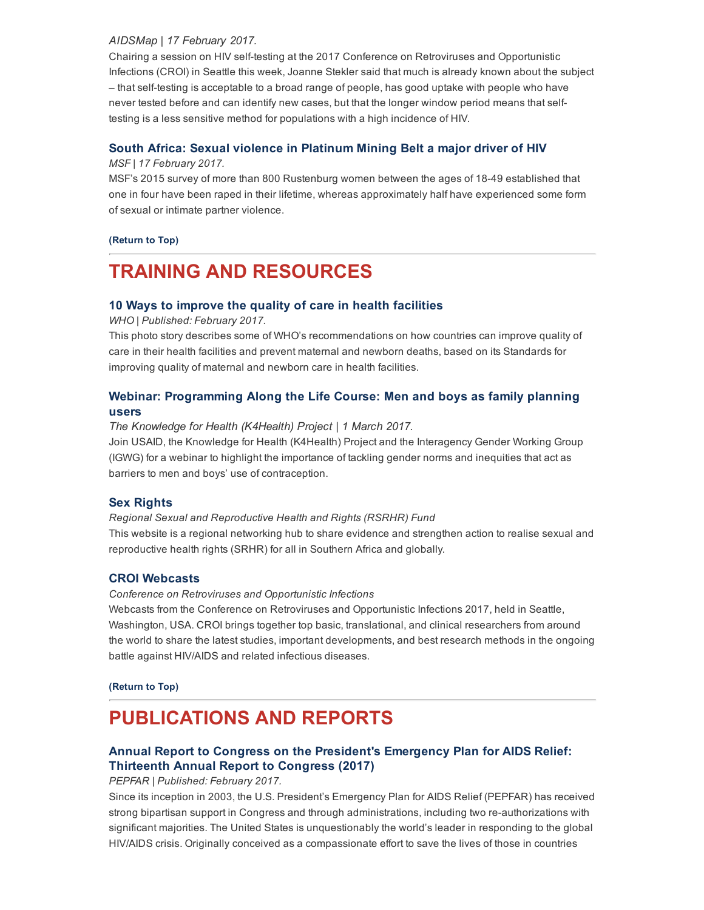#### AIDSMap | 17 February 2017.

Chairing a session on HIV self-testing at the 2017 Conference on Retroviruses and Opportunistic Infections (CROI) in Seattle this week, Joanne Stekler said that much is already known about the subject – that selftesting is acceptable to a broad range of people, has good uptake with people who have never tested before and can identify new cases, but that the longer window period means that selftesting is a less sensitive method for populations with a high incidence of HIV.

## South Africa: Sexual violence in [Platinum](http://www.hst.org.za/news/south-africa-sexual-violence-platinum-mining-belt-major-driver-hiv) Mining Belt a major driver of HIV

#### MSF | 17 February 2017.

MSF's 2015 survey of more than 800 Rustenburg women between the ages of 1849 established that one in four have been raped in their lifetime, whereas approximately half have experienced some form of sexual or intimate partner violence.

#### [\(Return](#page-0-1) to Top)

# <span id="page-4-0"></span>TRAINING AND RESOURCES

### 10 Ways to improve the quality of care in health [facilities](http://www.who.int/features/2017/quality-care-facilities/en/?utm_source=WHO%20List&utm_campaign=6fa4fd583d-EMAIL_CAMPAIGN_2017_01_18&utm_medium=email&utm_term=0_823e9e35c1-6fa4fd583d-266380653)

WHO | Published: February 2017.

This photo story describes some of WHO's recommendations on how countries can improve quality of care in their health facilities and prevent maternal and newborn deaths, based on its Standards for improving quality of maternal and newborn care in health facilities.

## Webinar: [Programming](https://www.eventbrite.com/e/programming-along-the-life-course-men-and-boys-as-family-planning-users-tickets-31973295989) Along the Life Course: Men and boys as family planning users

#### The Knowledge for Health (K4Health) Project | 1 March 2017.

Join USAID, the Knowledge for Health (K4Health) Project and the Interagency Gender Working Group (IGWG) for a webinar to highlight the importance of tackling gender norms and inequities that act as barriers to men and boys' use of contraception.

### Sex [Rights](http://www.sexrightsafrica.net/)

Regional Sexual and Reproductive Health and Rights (RSRHR) Fund This website is a regional networking hub to share evidence and strengthen action to realise sexual and reproductive health rights (SRHR) for all in Southern Africa and globally.

### CROI [Webcasts](http://www.croiwebcasts.org/)

#### Conference on Retroviruses and Opportunistic Infections

Webcasts from the Conference on Retroviruses and Opportunistic Infections 2017, held in Seattle, Washington, USA. CROI brings together top basic, translational, and clinical researchers from around the world to share the latest studies, important developments, and best research methods in the ongoing battle against HIV/AIDS and related infectious diseases.

[\(Return](#page-0-1) to Top)

# <span id="page-4-1"></span>PUBLICATIONS AND REPORTS

## Annual Report to Congress on the [President's](http://www.hst.org.za/publications/annual-report-congress-presidents-emergency-plan-aids-relief-thirteenth-annual-report-c) Emergency Plan for AIDS Relief: Thirteenth Annual Report to Congress (2017)

#### PEPFAR | Published: February 2017.

Since its inception in 2003, the U.S. President's Emergency Plan for AIDS Relief (PEPFAR) has received strong bipartisan support in Congress and through administrations, including two re-authorizations with significant majorities. The United States is unquestionably the world's leader in responding to the global HIV/AIDS crisis. Originally conceived as a compassionate effort to save the lives of those in countries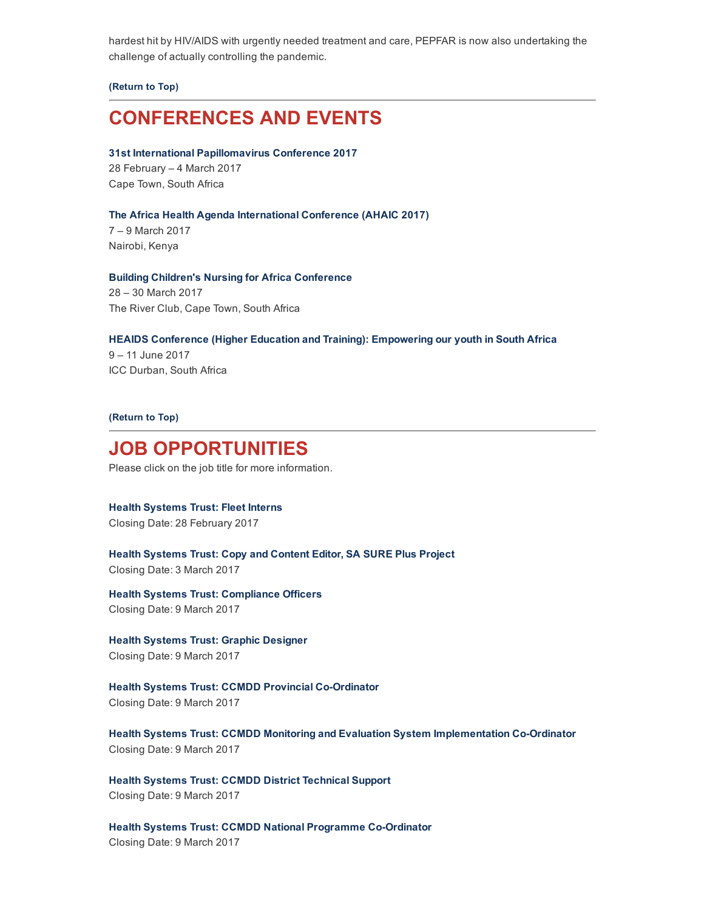hardest hit by HIV/AIDS with urgently needed treatment and care, PEPFAR is now also undertaking the challenge of actually controlling the pandemic.

[\(Return](#page-0-1) to Top)

## <span id="page-5-0"></span>CONFERENCES AND EVENTS

#### 31st International [Papillomavirus](http://hpv2017.org/) Conference 2017

28 February – 4 March 2017 Cape Town, South Africa

#### The Africa Health Agenda [International](http://ahaic.org/portal/index.php/ahaic/ahaic) Conference (AHAIC 2017)

7 – 9 March 2017 Nairobi, Kenya

#### Building Children's Nursing for Africa [Conference](http://www.buildingchildrensnursing.co.za/)

28 – 30 March 2017 The River Club, Cape Town, South Africa

#### HEAIDS Conference (Higher Education and Training): [Empowering](http://heaidsconference.co.za/) our youth in South Africa

9 – 11 June 2017 ICC Durban, South Africa

#### [\(Return](#page-0-1) to Top)

## <span id="page-5-1"></span>JOB OPPORTUNITIES

Please click on the job title for more information.

# Health [Systems](http://www.hst.org.za/jobs/corporate-services-unit-fleet-interns) Trust: Fleet Interns

Closing Date: 28 February 2017

Health [Systems](http://www.hst.org.za/jobs/copy-and-content-editor-sa-sure-plus-project) Trust: Copy and Content Editor, SA SURE Plus Project Closing Date: 3 March 2017

Health Systems Trust: [Compliance](http://www.hst.org.za/jobs/corporate-services-unit-compliance-officers) Officers Closing Date: 9 March 2017

Health Systems Trust: Graphic [Designer](http://www.hst.org.za/jobs/business-development-and-communications-unit-graphic-designer) Closing Date: 9 March 2017

## Health Systems Trust: CCMDD Provincial Co-Ordinator

Closing Date: 9 March 2017

Health Systems Trust: CCMDD Monitoring and Evaluation System [Implementation](http://www.hst.org.za/jobs/health-systems-strengthening-hss-unit-ccmdd-monitoring-and-evaluation-system-implementation-co-) Co-Ordinator Closing Date: 9 March 2017

Health Systems Trust: CCMDD District [Technical](http://www.hst.org.za/jobs/health-systems-strengthening-hss-unit-ccmdd-district-technical-support) Support Closing Date: 9 March 2017

Health Systems Trust: CCMDD National Programme Co-Ordinator Closing Date: 9 March 2017